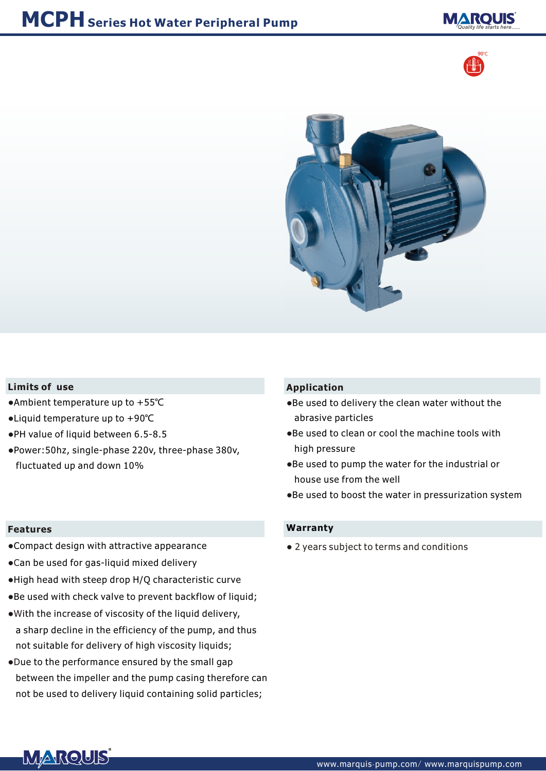





#### **Limits of use**

- Ambient temperature up to +55℃
- Liquid temperature up to +90℃
- PH value of liquid between 6.5-8.5
- Power:50hz, single-phase 220v, three-phase 380v, fluctuated up and down 10%

#### **Features**

- Compact design with attractive appearance
- Can be used for gas-liquid mixed delivery
- High head with steep drop H/Q characteristic curve
- Be used with check valve to prevent backflow of liquid;
- . With the increase of viscosity of the liquid delivery, a sharp decline in the efficiency of the pump, and thus not suitable for delivery of high viscosity liquids;
- D ue to the performance ensured by the small gap between the impeller and the pump casing therefore can not be used to delivery liquid containing solid particles;

### **Application**

- Be used to delivery the clean water without the abrasive particles
- Be used to clean or cool the machine tools with high pressure
- Be used to pump the water for the industrial or house use from the well
- Be used to boost the water in pressurization system

#### **Warranty**

● 2 years subject to terms and conditions

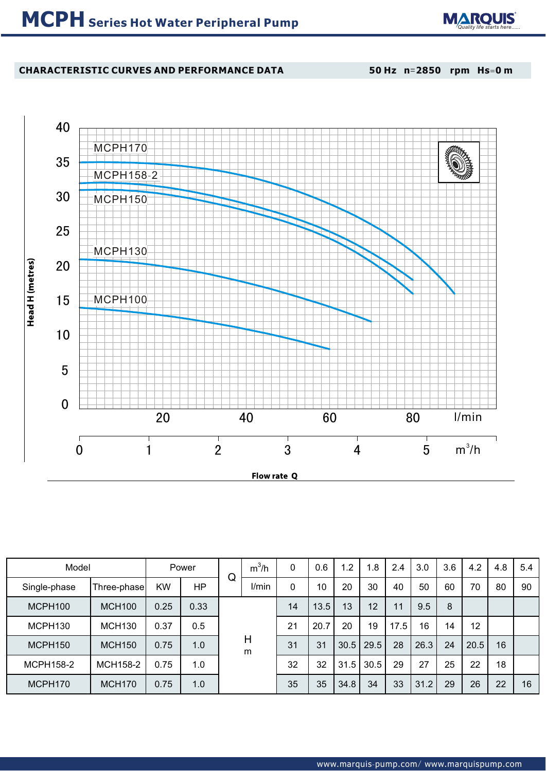

## **CHARACTERISTIC CURVES AND PERFORMANCE DATA**

**50 Hz n**=**2850 rpm Hs**=**0 m**



| Model        |               | Power     |           |        | $m^3/h$ | 0     | 0.6         | $\overline{2}$ | 1.8  | 2.4  | 3.0  | 3.6 | 4.2  | 4.8 | 5.4 |    |
|--------------|---------------|-----------|-----------|--------|---------|-------|-------------|----------------|------|------|------|-----|------|-----|-----|----|
| Single-phase | Three-phase   | <b>KW</b> | <b>HP</b> | Q      |         | I/min | $\mathbf 0$ | 10             | 20   | 30   | 40   | 50  | 60   | 70  | 80  | 90 |
| MCPH100      | <b>MCH100</b> | 0.25      | 0.33      | H<br>m |         | 14    | 13.5        | 13             | 12   | 11   | 9.5  | 8   |      |     |     |    |
| MCPH130      | <b>MCH130</b> | 0.37      | 0.5       |        |         | 21    | 20.7        | 20             | 19   | 17.5 | 16   | 14  | 12   |     |     |    |
| MCPH150      | <b>MCH150</b> | 0.75      | 1.0       |        |         | 31    | 31          | 30.5           | 29.5 | 28   | 26.3 | 24  | 20.5 | 16  |     |    |
| MCPH158-2    | MCH158-2      | 0.75      | 1.0       |        |         | 32    | 32          | 31.5           | 30.5 | 29   | 27   | 25  | 22   | 18  |     |    |
| MCPH170      | <b>MCH170</b> | 0.75      | 1.0       |        |         | 35    | 35          | 34.8           | 34   | 33   | 31.2 | 29  | 26   | 22  | 16  |    |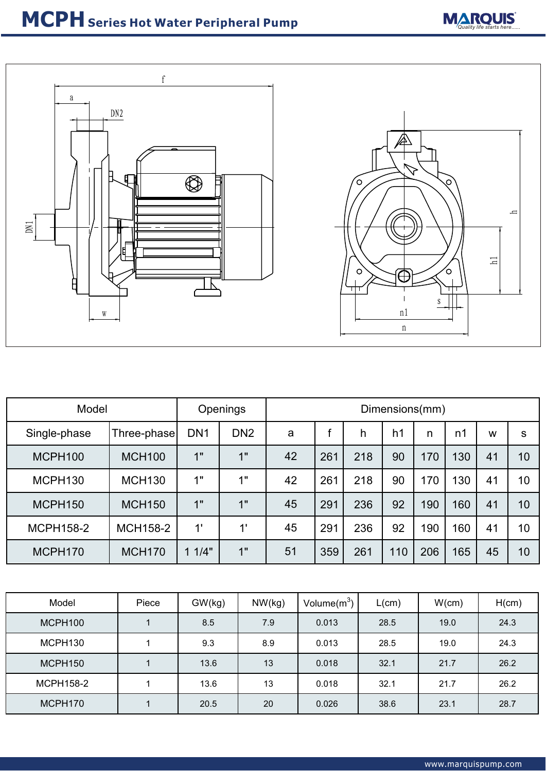



| Model               |                 | <b>Openings</b> | Dimensions(mm)  |    |     |     |                |     |     |    |    |
|---------------------|-----------------|-----------------|-----------------|----|-----|-----|----------------|-----|-----|----|----|
| Single-phase        | Three-phase     | DN <sub>1</sub> | DN <sub>2</sub> | a  |     | h   | h <sub>1</sub> | n   | n1  | W  | S  |
| MCPH100             | <b>MCH100</b>   | 1"              | 1"              | 42 | 261 | 218 | 90             | 170 | 130 | 41 | 10 |
| MCPH <sub>130</sub> | <b>MCH130</b>   | 1"              | 1"              | 42 | 261 | 218 | 90             | 170 | 130 | 41 | 10 |
| MCPH150             | <b>MCH150</b>   | 1"              | 1"              | 45 | 291 | 236 | 92             | 190 | 160 | 41 | 10 |
| <b>MCPH158-2</b>    | <b>MCH158-2</b> | 1'              | 1'              | 45 | 291 | 236 | 92             | 190 | 160 | 41 | 10 |
| MCPH170             | <b>MCH170</b>   | 1/4"            | 1"              | 51 | 359 | 261 | 110            | 206 | 165 | 45 | 10 |

| Model               | Piece | GW(kg) | NW(kg) | Volume $(m^3)$ | $L$ (cm) | W(cm) | H(cm) |
|---------------------|-------|--------|--------|----------------|----------|-------|-------|
| MCPH100             |       | 8.5    | 7.9    | 0.013          | 28.5     | 19.0  | 24.3  |
| MCPH <sub>130</sub> |       | 9.3    | 8.9    | 0.013          | 28.5     | 19.0  | 24.3  |
| MCPH150             |       | 13.6   | 13     | 0.018          | 32.1     | 21.7  | 26.2  |
| <b>MCPH158-2</b>    |       | 13.6   | 13     | 0.018          | 32.1     | 21.7  | 26.2  |
| MCPH170             |       | 20.5   | 20     | 0.026          | 38.6     | 23.1  | 28.7  |